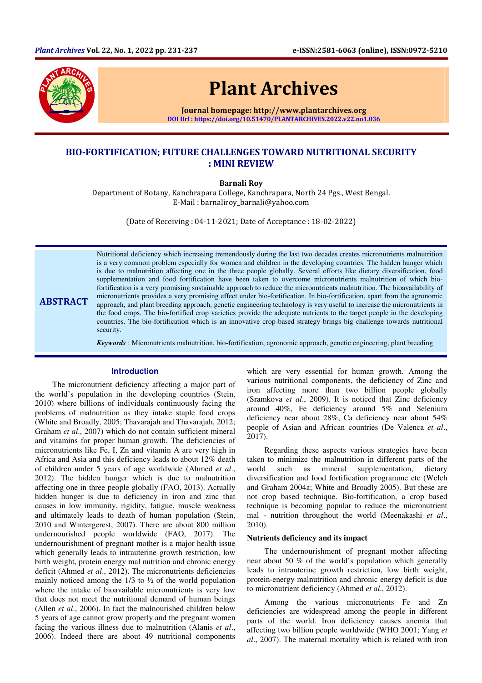

**ABSTRACT** 

# Plant Archives

Journal homepage: http://www.plantarchives.org DOI Url : https://doi.org/10.51470/PLANTARCHIVES.2022.v22.no1.036

# BIO-FORTIFICATION; FUTURE CHALLENGES TOWARD NUTRITIONAL SECURITY : MINI REVIEW

Barnali Roy

Department of Botany, Kanchrapara College, Kanchrapara, North 24 Pgs., West Bengal. E-Mail : barnaliroy\_barnali@yahoo.com

(Date of Receiving : 04-11-2021; Date of Acceptance : 18-02-2022)

Nutritional deficiency which increasing tremendously during the last two decades creates micronutrients malnutrition is a very common problem especially for women and children in the developing countries. The hidden hunger which is due to malnutrition affecting one in the three people globally. Several efforts like dietary diversification, food supplementation and food fortification have been taken to overcome micronutrients malnutrition of which biofortification is a very promising sustainable approach to reduce the micronutrients malnutrition. The bioavailability of micronutrients provides a very promising effect under bio-fortification. In bio-fortification, apart from the agronomic approach, and plant breeding approach, genetic engineering technology is very useful to increase the micronutrients in the food crops. The bio-fortified crop varieties provide the adequate nutrients to the target people in the developing countries. The bio-fortification which is an innovative crop-based strategy brings big challenge towards nutritional security.

*Keywords* : Micronutrients malnutrition, bio-fortification, agronomic approach, genetic engineering, plant breeding

#### **Introduction**

The micronutrient deficiency affecting a major part of the world's population in the developing countries (Stein, 2010) where billions of individuals continuously facing the problems of malnutrition as they intake staple food crops (White and Broadly, 2005; Thavarajah and Thavarajah, 2012; Graham *et al*., 2007) which do not contain sufficient mineral and vitamins for proper human growth. The deficiencies of micronutrients like Fe, I, Zn and vitamin A are very high in Africa and Asia and this deficiency leads to about 12% death of children under 5 years of age worldwide (Ahmed *et al*., 2012). The hidden hunger which is due to malnutrition affecting one in three people globally (FAO, 2013). Actually hidden hunger is due to deficiency in iron and zinc that causes in low immunity, rigidity, fatigue, muscle weakness and ultimately leads to death of human population (Stein, 2010 and Wintergerest, 2007). There are about 800 million undernourished people worldwide (FAO, 2017). The undernourishment of pregnant mother is a major health issue which generally leads to intrauterine growth restriction, low birth weight, protein energy mal nutrition and chronic energy deficit (Ahmed *et al*., 2012). The micronutrients deficiencies mainly noticed among the  $1/3$  to  $\frac{1}{2}$  of the world population where the intake of bioavailable micronutrients is very low that does not meet the nutritional demand of human beings (Allen *et al*., 2006). In fact the malnourished children below 5 years of age cannot grow properly and the pregnant women facing the various illness due to malnutrition (Alanis *et al*., 2006). Indeed there are about 49 nutritional components

which are very essential for human growth. Among the various nutritional components, the deficiency of Zinc and iron affecting more than two billion people globally (Sramkova *et al*., 2009). It is noticed that Zinc deficiency around 40%, Fe deficiency around 5% and Selenium deficiency near about 28%, Ca deficiency near about 54% people of Asian and African countries (De Valenca *et al*., 2017).

Regarding these aspects various strategies have been taken to minimize the malnutrition in different parts of the world such as mineral supplementation, dietary diversification and food fortification programme etc (Welch and Graham 2004a; White and Broadly 2005). But these are not crop based technique. Bio-fortification, a crop based technique is becoming popular to reduce the micronutrient mal - nutrition throughout the world (Meenakashi *et al*., 2010).

## **Nutrients deficiency and its impact**

The undernourishment of pregnant mother affecting near about 50 % of the world's population which generally leads to intrauterine growth restriction, low birth weight, protein-energy malnutrition and chronic energy deficit is due to micronutrient deficiency (Ahmed *et al*., 2012).

Among the various micronutrients Fe and Zn deficiencies are widespread among the people in different parts of the world. Iron deficiency causes anemia that affecting two billion people worldwide (WHO 2001; Yang *et al*., 2007). The maternal mortality which is related with iron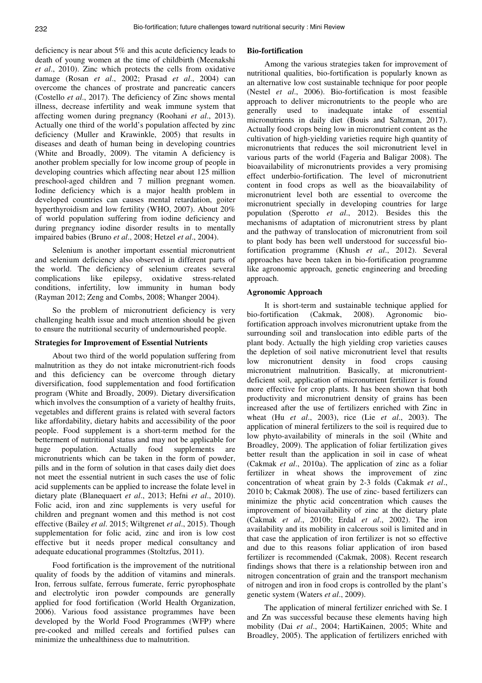deficiency is near about 5% and this acute deficiency leads to death of young women at the time of childbirth (Meenakshi *et al*., 2010). Zinc which protects the cells from oxidative damage (Rosan *et al*., 2002; Prasad *et al*., 2004) can overcome the chances of prostrate and pancreatic cancers (Costello *et al*., 2017). The deficiency of Zinc shows mental illness, decrease infertility and weak immune system that affecting women during pregnancy (Roohani *et al*., 2013). Actually one third of the world's population affected by zinc deficiency (Muller and Krawinkle, 2005) that results in diseases and death of human being in developing countries (White and Broadly, 2009). The vitamin A deficiency is another problem specially for low income group of people in developing countries which affecting near about 125 million preschool-aged children and 7 million pregnant women. Iodine deficiency which is a major health problem in developed countries can causes mental retardation, goiter hyperthyroidism and low fertility (WHO, 2007). About 20% of world population suffering from iodine deficiency and during pregnancy iodine disorder results in to mentally impaired babies (Bruno *et al*., 2008; Hetzel *et al*., 2004).

Selenium is another important essential micronutrient and selenium deficiency also observed in different parts of the world. The deficiency of selenium creates several complications like epilepsy, oxidative stress-related conditions, infertility, low immunity in human body (Rayman 2012; Zeng and Combs, 2008; Whanger 2004).

So the problem of micronutrient deficiency is very challenging health issue and much attention should be given to ensure the nutritional security of undernourished people.

#### **Strategies for Improvement of Essential Nutrients**

About two third of the world population suffering from malnutrition as they do not intake micronutrient-rich foods and this deficiency can be overcome through dietary diversification, food supplementation and food fortification program (White and Broadly, 2009). Dietary diversification which involves the consumption of a variety of healthy fruits, vegetables and different grains is related with several factors like affordability, dietary habits and accessibility of the poor people. Food supplement is a short-term method for the betterment of nutritional status and may not be applicable for huge population. Actually food supplements are micronutrients which can be taken in the form of powder, pills and in the form of solution in that cases daily diet does not meet the essential nutrient in such cases the use of folic acid supplements can be applied to increase the folate level in dietary plate (Blanequaert *et al*., 2013; Hefni *et al*., 2010). Folic acid, iron and zinc supplements is very useful for children and pregnant women and this method is not cost effective (Bailey *et al*. 2015; Wiltgrenet *et al*., 2015). Though supplementation for folic acid, zinc and iron is low cost effective but it needs proper medical consultancy and adequate educational programmes (Stoltzfus, 2011).

Food fortification is the improvement of the nutritional quality of foods by the addition of vitamins and minerals. Iron, ferrous sulfate, ferrous fumerate, ferric pyrophosphate and electrolytic iron powder compounds are generally applied for food fortification (World Health Organization, 2006). Various food assistance programmes have been developed by the World Food Programmes (WFP) where pre-cooked and milled cereals and fortified pulses can minimize the unhealthiness due to malnutrition.

#### **Bio-fortification**

Among the various strategies taken for improvement of nutritional qualities, bio-fortification is popularly known as an alternative low cost sustainable technique for poor people (Nestel *et al*., 2006). Bio-fortification is most feasible approach to deliver micronutrients to the people who are generally used to inadequate intake of essential micronutrients in daily diet (Bouis and Saltzman, 2017). Actually food crops being low in micronutrient content as the cultivation of high-yielding varieties require high quantity of micronutrients that reduces the soil micronutrient level in various parts of the world (Fageria and Baligar 2008). The bioavailability of micronutrients provides a very promising effect underbio-fortification. The level of micronutrient content in food crops as well as the bioavailability of micronutrient level both are essential to overcome the micronutrient specially in developing countries for large population (Sperotto *et al*., 2012). Besides this the mechanisms of adaptation of micronutrient stress by plant and the pathway of translocation of micronutrient from soil to plant body has been well understood for successful biofortification programme (Khush *et al*., 2012). Several approaches have been taken in bio-fortification programme like agronomic approach, genetic engineering and breeding approach.

#### **Agronomic Approach**

It is short-term and sustainable technique applied for bio-fortification (Cakmak, 2008). Agronomic biofortification approach involves micronutrient uptake from the surrounding soil and translocation into edible parts of the plant body. Actually the high yielding crop varieties causes the depletion of soil native micronutrient level that results low micronutrient density in food crops causing micronutrient malnutrition. Basically, at micronutrientdeficient soil, application of micronutrient fertilizer is found more effective for crop plants. It has been shown that both productivity and micronutrient density of grains has been increased after the use of fertilizers enriched with Zinc in wheat (Hu *et al*., 2003), rice (Lie *et al*., 2003). The application of mineral fertilizers to the soil is required due to low phyto-availability of minerals in the soil (White and Broadley, 2009). The application of foliar fertilization gives better result than the application in soil in case of wheat (Cakmak *et al*., 2010a). The application of zinc as a foliar fertilizer in wheat shows the improvement of zinc concentration of wheat grain by 2-3 folds (Cakmak *et al*., 2010 b; Cakmak 2008). The use of zinc- based fertilizers can minimize the phytic acid concentration which causes the improvement of bioavailability of zinc at the dietary plate (Cakmak *et al*., 2010b; Erdal *et al*., 2002). The iron availability and its mobility in calcerous soil is limited and in that case the application of iron fertilizer is not so effective and due to this reasons foliar application of iron based fertilizer is recommended (Cakmak, 2008). Recent research findings shows that there is a relationship between iron and nitrogen concentration of grain and the transport mechanism of nitrogen and iron in food crops is controlled by the plant's genetic system (Waters *et al*., 2009).

The application of mineral fertilizer enriched with Se. I and Zn was successful because these elements having high mobility (Dai *et al*., 2004; HartiKainen, 2005; White and Broadley, 2005). The application of fertilizers enriched with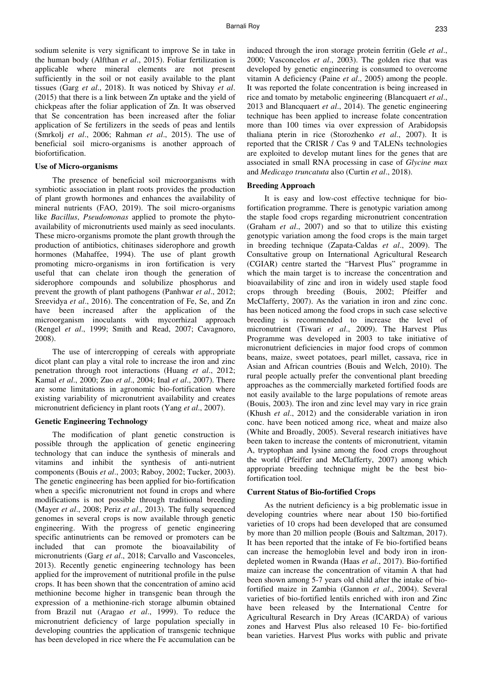sodium selenite is very significant to improve Se in take in the human body (Alfthan *et al*., 2015). Foliar fertilization is applicable where mineral elements are not present sufficiently in the soil or not easily available to the plant tissues (Garg *et al*., 2018). It was noticed by Shivay *et al*. (2015) that there is a link between Zn uptake and the yield of chickpeas after the foliar application of Zn. It was observed that Se concentration has been increased after the foliar application of Se fertilizers in the seeds of peas and lentils (Smrkolj *et al*., 2006; Rahman *et al*., 2015). The use of beneficial soil micro-organisms is another approach of biofortification.

#### **Use of Micro-organisms**

The presence of beneficial soil microorganisms with symbiotic association in plant roots provides the production of plant growth hormones and enhances the availability of mineral nutrients (FAO, 2019). The soil micro-organisms like *Bacillus*, *Pseudomonas* applied to promote the phytoavailability of micronutrients used mainly as seed inoculants. These micro-organisms promote the plant growth through the production of antibiotics, chitinases siderophore and growth hormones (Mahaffee, 1994). The use of plant growth promoting micro-organisms in iron fortification is very useful that can chelate iron though the generation of siderophore compounds and solubilize phosphorus and prevent the growth of plant pathogens (Panhwar *et al*., 2012; Sreevidya *et al*., 2016). The concentration of Fe, Se, and Zn have been increased after the application of the microorganism inoculants with mycorrhizal approach (Rengel *et al*., 1999; Smith and Read, 2007; Cavagnoro, 2008).

The use of intercropping of cereals with appropriate dicot plant can play a vital role to increase the iron and zinc penetration through root interactions (Huang *et al*., 2012; Kamal *et al*., 2000; Zuo *et al*., 2004; Inal *et al*., 2007). There are some limitations in agronomic bio-fortification where existing variability of micronutrient availability and creates micronutrient deficiency in plant roots (Yang *et al*., 2007).

## **Genetic Engineering Technology**

The modification of plant genetic construction is possible through the application of genetic engineering technology that can induce the synthesis of minerals and vitamins and inhibit the synthesis of anti-nutrient components (Bouis *et al*., 2003; Raboy, 2002; Tucker, 2003). The genetic engineering has been applied for bio-fortification when a specific micronutrient not found in crops and where modifications is not possible through traditional breeding (Mayer *et al*., 2008; Periz *et al*., 2013). The fully sequenced genomes in several crops is now available through genetic engineering. With the progress of genetic engineering specific antinutrients can be removed or promoters can be included that can promote the bioavailability of micronutrients (Garg *et al*., 2018; Carvallo and Vasconceles, 2013). Recently genetic engineering technology has been applied for the improvement of nutritional profile in the pulse crops. It has been shown that the concentration of amino acid methionine become higher in transgenic bean through the expression of a methionine-rich storage albumin obtained from Brazil nut (Aragao *et al*., 1999). To reduce the micronutrient deficiency of large population specially in developing countries the application of transgenic technique has been developed in rice where the Fe accumulation can be

induced through the iron storage protein ferritin (Gele *et al*., 2000; Vasconcelos *et al*., 2003). The golden rice that was developed by genetic engineering is consumed to overcome vitamin A deficiency (Paine *et al*., 2005) among the people. It was reported the folate concentration is being increased in rice and tomato by metabolic engineering (Blancquaert *et al*., 2013 and Blancquaert *et al*., 2014). The genetic engineering technique has been applied to increase folate concentration more than 100 times via over expression of Arabidopsis thaliana pterin in rice (Storozhenko *et al*., 2007). It is reported that the CRISR / Cas 9 and TALENs technologies are exploited to develop mutant lines for the genes that are associated in small RNA processing in case of *Glycine max* and *Medicago truncatuta* also (Curtin *et al*., 2018).

# **Breeding Approach**

It is easy and low-cost effective technique for biofortification programme. There is genotypic variation among the staple food crops regarding micronutrient concentration (Graham *et al*., 2007) and so that to utilize this existing genotypic variation among the food crops is the main target in breeding technique (Zapata-Caldas *et al*., 2009). The Consultative group on International Agricultural Research (CGIAR) centre started the "Harvest Plus" programme in which the main target is to increase the concentration and bioavailability of zinc and iron in widely used staple food crops through breeding (Bouis, 2002; Pfeiffer and McClafferty, 2007). As the variation in iron and zinc conc. has been noticed among the food crops in such case selective breeding is recommended to increase the level of micronutrient (Tiwari *et al*., 2009). The Harvest Plus Programme was developed in 2003 to take initiative of micronutrient deficiencies in major food crops of common beans, maize, sweet potatoes, pearl millet, cassava, rice in Asian and African countries (Bouis and Welch, 2010). The rural people actually prefer the conventional plant breeding approaches as the commercially marketed fortified foods are not easily available to the large populations of remote areas (Bouis, 2003). The iron and zinc level may vary in rice grain (Khush *et al*., 2012) and the considerable variation in iron conc. have been noticed among rice, wheat and maize also (White and Broadly, 2005). Several research initiatives have been taken to increase the contents of micronutrient, vitamin A, tryptophan and lysine among the food crops throughout the world (Pfeiffer and McClafferty, 2007) among which appropriate breeding technique might be the best biofortification tool.

# **Current Status of Bio-fortified Crops**

As the nutrient deficiency is a big problematic issue in developing countries where near about 150 bio-fortified varieties of 10 crops had been developed that are consumed by more than 20 million people (Bouis and Saltzman, 2017). It has been reported that the intake of Fe bio-fortified beans can increase the hemoglobin level and body iron in irondepleted women in Rwanda (Haas *et al*., 2017). Bio-fortified maize can increase the concentration of vitamin A that had been shown among 5-7 years old child after the intake of biofortified maize in Zambia (Gannon *et al*., 2004). Several varieties of bio-fortified lentils enriched with iron and Zinc have been released by the International Centre for Agricultural Research in Dry Areas (ICARDA) of various zones and Harvest Plus also released 10 Fe- bio-fortified bean varieties. Harvest Plus works with public and private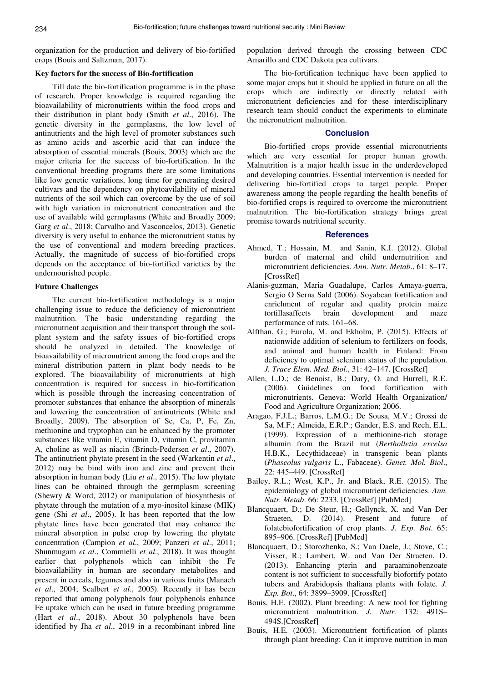organization for the production and delivery of bio-fortified crops (Bouis and Saltzman, 2017).

#### **Key factors for the success of Bio-fortification**

Till date the bio-fortification programme is in the phase of research. Proper knowledge is required regarding the bioavailability of micronutrients within the food crops and their distribution in plant body (Smith *et al*., 2016). The genetic diversity in the germplasms, the low level of antinutrients and the high level of promoter substances such as amino acids and ascorbic acid that can induce the absorption of essential minerals (Bouis, 2003) which are the major criteria for the success of bio-fortification. In the conventional breeding programs there are some limitations like low genetic variations, long time for generating desired cultivars and the dependency on phytoavilability of mineral nutrients of the soil which can overcome by the use of soil with high variation in micronutrient concentration and the use of available wild germplasms (White and Broadly 2009; Garg *et al*., 2018; Carvalho and Vasconcelos, 2013). Genetic diversity is very useful to enhance the micronutrient status by the use of conventional and modern breeding practices. Actually, the magnitude of success of bio-fortified crops depends on the acceptance of bio-fortified varieties by the undernourished people.

# **Future Challenges**

The current bio-fortification methodology is a major challenging issue to reduce the deficiency of micronutrient malnutrition. The basic understanding regarding the micronutrient acquisition and their transport through the soilplant system and the safety issues of bio-fortified crops should be analyzed in detailed. The knowledge of bioavailability of micronutrient among the food crops and the mineral distribution pattern in plant body needs to be explored. The bioavailability of micronutrients at high concentration is required for success in bio-fortification which is possible through the increasing concentration of promoter substances that enhance the absorption of minerals and lowering the concentration of antinutrients (White and Broadly, 2009). The absorption of Se, Ca, P, Fe, Zn, methionine and tryptophan can be enhanced by the promoter substances like vitamin E, vitamin D, vitamin C, provitamin A, choline as well as niacin (Brinch-Pedersen *et al*., 2007). The antinutrient phytate present in the seed (Warkentin *et al*., 2012) may be bind with iron and zinc and prevent their absorption in human body (Liu *et al*., 2015). The low phytate lines can be obtained through the germplasm screening (Shewry & Word, 2012) or manipulation of biosynthesis of phytate through the mutation of a myo-inositol kinase (MIK) gene (Shi *et al*., 2005). It has been reported that the low phytate lines have been generated that may enhance the mineral absorption in pulse crop by lowering the phytate concentration (Campion *et al*., 2009; Panzeri *et al*., 2011; Shunmugam *et al*., Commielli *et al*., 2018). It was thought earlier that polyphenols which can inhibit the Fe bioavailability in human are secondary metabolites and present in cereals, legumes and also in various fruits (Manach *et al*., 2004; Scalbert *et al*., 2005). Recently it has been reported that among polyphenols four polyphenols enhance Fe uptake which can be used in future breeding programme (Hart *et al*., 2018). About 30 polyphenols have been identified by Jha *et al*., 2019 in a recombinant inbred line

population derived through the crossing between CDC Amarillo and CDC Dakota pea cultivars.

The bio-fortification technique have been applied to some major crops but it should be applied in future on all the crops which are indirectly or directly related with micronutrient deficiencies and for these interdisciplinary research team should conduct the experiments to eliminate the micronutrient malnutrition.

#### **Conclusion**

Bio-fortified crops provide essential micronutrients which are very essential for proper human growth. Malnutrition is a major health issue in the underdeveloped and developing countries. Essential intervention is needed for delivering bio-fortified crops to target people. Proper awareness among the people regarding the health benefits of bio-fortified crops is required to overcome the micronutrient malnutrition. The bio-fortification strategy brings great promise towards nutritional security.

# **References**

- Ahmed, T.; Hossain, M. and Sanin, K.I. (2012). Global burden of maternal and child undernutrition and micronutrient deficiencies. *Ann. Nutr. Metab*., 61: 8–17. [CrossRef]
- Alanis-guzman, Maria Guadalupe, Carlos Amaya-guerra, Sergio O Serna Sald (2006). Soyabean fortification and enrichment of regular and quality protein maize tortillasaffects brain development and maze performance of rats. 161–68.
- Alfthan, G.; Eurola, M. and Ekholm, P. (2015). Effects of nationwide addition of selenium to fertilizers on foods, and animal and human health in Finland: From deficiency to optimal selenium status of the population. *J. Trace Elem. Med. Biol*., 31: 42–147. [CrossRef]
- Allen, L.D.; de Benoist, B.; Dary, O. and Hurrell, R.E. (2006). Guidelines on food fortification with micronutrients. Geneva: World Health Organization/ Food and Agriculture Organization; 2006.
- Aragao, F.J.L.; Barros, L.M.G.; De Sousa, M.V.; Grossi de Sa, M.F.; Almeida, E.R.P.; Gander, E.S. and Rech, E.L. (1999). Expression of a methionine-rich storage albumin from the Brazil nut (*Bertholletia excelsa* H.B.K., Lecythidaceae) in transgenic bean plants (*Phaseolus vulgaris* L., Fabaceae). *Genet. Mol. Biol*., 22: 445–449. [CrossRef]
- Bailey, R.L.; West, K.P., Jr. and Black, R.E. (2015). The epidemiology of global micronutrient deficiencies. *Ann. Nutr. Metab*. 66: 2233. [CrossRef] [PubMed]
- Blancquaert, D.; De Steur, H.; Gellynck, X. and Van Der Straeten, D. (2014). Present and future of folatebiofortification of crop plants. *J. Exp. Bot*. 65: 895–906. [CrossRef] [PubMed]
- Blancquaert, D.; Storozhenko, S.; Van Daele, J.; Stove, C.; Visser, R.; Lambert, W. and Van Der Straeten, D. (2013). Enhancing pterin and paraaminobenzoate content is not sufficient to successfully biofortify potato tubers and Arabidopsis thaliana plants with folate. *J. Exp. Bot*., 64: 3899–3909. [CrossRef]
- Bouis, H.E. (2002). Plant breeding: A new tool for fighting micronutrient malnutrition. *J. Nutr.* 132: 491S– 494S.[CrossRef]
- Bouis, H.E. (2003). Micronutrient fortification of plants through plant breeding: Can it improve nutrition in man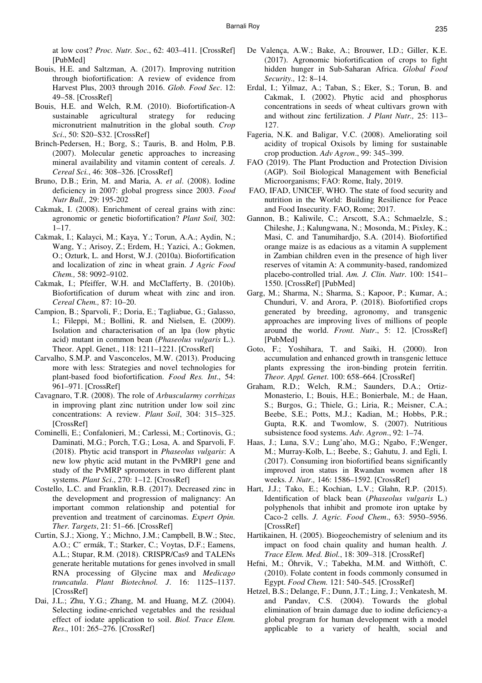at low cost? *Proc. Nutr. Soc*., 62: 403–411. [CrossRef] [PubMed]

- Bouis, H.E. and Saltzman, A. (2017). Improving nutrition through biofortification: A review of evidence from Harvest Plus, 2003 through 2016. *Glob. Food Sec*. 12: 49–58. [CrossRef]
- Bouis, H.E. and Welch, R.M. (2010). Biofortification-A sustainable agricultural strategy for reducing micronutrient malnutrition in the global south. *Crop Sci*., 50: S20–S32. [CrossRef]
- Brinch-Pedersen, H.; Borg, S.; Tauris, B. and Holm, P.B. (2007). Molecular genetic approaches to increasing mineral availability and vitamin content of cereals. *J. Cereal Sci.*, 46: 308–326. [CrossRef]
- Bruno, D.B.; Erin, M. and Maria, A. *et al*. (2008). Iodine deficiency in 2007: global progress since 2003. *Food Nutr Bull.,* 29: 195-202
- Cakmak, I. (2008). Enrichment of cereal grains with zinc: agronomic or genetic biofortification? *Plant Soil,* 302:  $1 - 17$ .
- Cakmak, I.; Kalayci, M.; Kaya, Y.; Torun, A.A.; Aydin, N.; Wang, Y.; Arisoy, Z.; Erdem, H.; Yazici, A.; Gokmen, O.; Ozturk, L. and Horst, W.J. (2010a). Biofortification and localization of zinc in wheat grain. *J Agric Food Chem.,* 58: 9092–9102.
- Cakmak, I.; Pfeiffer, W.H. and McClafferty, B. (2010b). Biofortification of durum wheat with zinc and iron. *Cereal Chem.,* 87: 10–20.
- Campion, B.; Sparvoli, F.; Doria, E.; Tagliabue, G.; Galasso, I.; Fileppi, M.; Bollini, R. and Nielsen, E. (2009). Isolation and characterisation of an lpa (low phytic acid) mutant in common bean (*Phaseolus vulgaris* L.). Theor. Appl. Genet., 118: 1211–1221. [CrossRef]
- Carvalho, S.M.P. and Vasconcelos, M.W. (2013). Producing more with less: Strategies and novel technologies for plant-based food biofortification. *Food Res. Int*., 54: 961–971. [CrossRef]
- Cavagnaro, T.R. (2008). The role of *Arbuscularmy corrhizas* in improving plant zinc nutrition under low soil zinc concentrations: A review. *Plant Soil*, 304: 315–325. [CrossRef]
- Cominelli, E.; Confalonieri, M.; Carlessi, M.; Cortinovis, G.; Daminati, M.G.; Porch, T.G.; Losa, A. and Sparvoli, F. (2018). Phytic acid transport in *Phaseolus vulgaris*: A new low phytic acid mutant in the PvMRP1 gene and study of the PvMRP spromoters in two different plant systems. *Plant Sci*., 270: 1–12. [CrossRef]
- Costello, L.C. and Franklin, R.B. (2017). Decreased zinc in the development and progression of malignancy: An important common relationship and potential for prevention and treatment of carcinomas. *Expert Opin. Ther. Targets*, 21: 51–66. [CrossRef]
- Curtin, S.J.; Xiong, Y.; Michno, J.M.; Campbell, B.W.; Stec, A.O.; Cˇ ermák, T.; Starker, C.; Voytas, D.F.; Eamens, A.L.; Stupar, R.M. (2018). CRISPR/Cas9 and TALENs generate heritable mutations for genes involved in small RNA processing of Glycine max and *Medicago truncatula*. *Plant Biotechnol. J*. 16: 1125–1137. [CrossRef]
- Dai, J.L.; Zhu, Y.G.; Zhang, M. and Huang, M.Z. (2004). Selecting iodine-enriched vegetables and the residual effect of iodate application to soil. *Biol. Trace Elem. Res*., 101: 265–276. [CrossRef]
- De Valença, A.W.; Bake, A.; Brouwer, I.D.; Giller, K.E. (2017). Agronomic biofortification of crops to fight hidden hunger in Sub-Saharan Africa. *Global Food Security.,* 12: 8–14.
- Erdal, I.; Yilmaz, A.; Taban, S.; Eker, S.; Torun, B. and Cakmak, I. (2002). Phytic acid and phosphorus concentrations in seeds of wheat cultivars grown with and without zinc fertilization. *J Plant Nutr.,* 25: 113– 127.
- Fageria, N.K. and Baligar, V.C. (2008). Ameliorating soil acidity of tropical Oxisols by liming for sustainable crop production. *Adv Agron*., 99: 345–399.
- FAO (2019). The Plant Production and Protection Division (AGP). Soil Biological Management with Beneficial Microorganisms; FAO: Rome, Italy, 2019.
- FAO, IFAD, UNICEF, WHO. The state of food security and nutrition in the World: Building Resilience for Peace and Food Insecurity. FAO, Rome; 2017.
- Gannon, B.; Kaliwile, C.; Arscott, S.A.; Schmaelzle, S.; Chileshe, J.; Kalungwana, N.; Mosonda, M.; Pixley, K.; Masi, C. and Tanumihardjo, S.A. (2014). Biofortified orange maize is as edacious as a vitamin A supplement in Zambian children even in the presence of high liver reserves of vitamin A: A community-based, randomized placebo-controlled trial. *Am. J. Clin. Nutr*. 100: 1541– 1550. [CrossRef] [PubMed]
- Garg, M.; Sharma, N.; Sharma, S.; Kapoor, P.; Kumar, A.; Chunduri, V. and Arora, P. (2018). Biofortified crops generated by breeding, agronomy, and transgenic approaches are improving lives of millions of people around the world. *Front. Nutr*., 5: 12. [CrossRef] [PubMed]
- Goto, F.; Yoshihara, T. and Saiki, H. (2000). Iron accumulation and enhanced growth in transgenic lettuce plants expressing the iron-binding protein ferritin. *Theor. Appl. Genet*. 100: 658–664. [CrossRef]
- Graham, R.D.; Welch, R.M.; Saunders, D.A.; Ortiz-Monasterio, I.; Bouis, H.E.; Bonierbale, M.; de Haan, S.; Burgos, G.; Thiele, G.; Liria, R.; Meisner, C.A.; Beebe, S.E.; Potts, M.J.; Kadian, M.; Hobbs, P.R.; Gupta, R.K. and Twomlow, S. (2007). Nutritious subsistence food systems. *Adv. Agron*., 92: 1–74.
- Haas, J.; Luna, S.V.; Lung'aho, M.G.; Ngabo, F.;Wenger, M.; Murray-Kolb, L.; Beebe, S.; Gahutu, J. and Egli, I. (2017). Consuming iron biofortified beans significantly improved iron status in Rwandan women after 18 weeks. *J. Nutr.,* 146: 1586–1592. [CrossRef]
- Hart, J.J.; Tako, E.; Kochian, L.V.; Glahn, R.P. (2015). Identification of black bean (*Phaseolus vulgaris* L.) polyphenols that inhibit and promote iron uptake by Caco-2 cells. *J. Agric. Food Chem*., 63: 5950–5956. [CrossRef]
- Hartikainen, H. (2005). Biogeochemistry of selenium and its impact on food chain quality and human health. *J. Trace Elem. Med. Biol.*, 18: 309–318. [CrossRef]
- Hefni, M.; Öhrvik, V.; Tabekha, M.M. and Witthöft, C. (2010). Folate content in foods commonly consumed in Egypt. *Food Chem.* 121: 540–545. [CrossRef]
- Hetzel, B.S.; Delange, F.; Dunn, J.T.; Ling, J.; Venkatesh, M. and Pandav, C.S. (2004). Towards the global elimination of brain damage due to iodine deficiency-a global program for human development with a model applicable to a variety of health, social and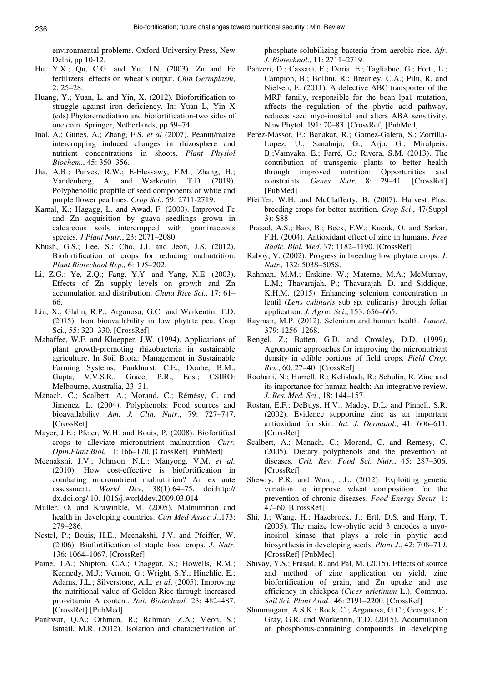environmental problems. Oxford University Press, New Delhi, pp 10-12.

- Hu, Y.X.; Qu, C.G. and Yu, J.N. (2003). Zn and Fe fertilizers' effects on wheat's output. *Chin Germplasm*, 2: 25–28.
- Huang, Y.; Yuan, L. and Yin, X. (2012). Biofortification to struggle against iron deficiency. In: Yuan L, Yin X (eds) Phytoremediation and biofortification-two sides of one coin. Springer, Netherlands, pp 59–74
- Inal, A.; Gunes, A.; Zhang, F.S. *et al* (2007). Peanut/maize intercropping induced changes in rhizosphere and nutrient concentrations in shoots. *Plant Physiol Biochem*., 45: 350–356.
- Jha, A.B.; Purves, R.W.; E-Elessawy, F.M.; Zhang, H.; Vandenberg, A. and Warkentin, T.D. (2019). Polyphenollic propfile of seed components of white and purple flower pea lines. *Crop Sci.*, 59: 2711-2719.
- Kamal, K.; Hagagg, L. and Awad, F. (2000). Improved Fe and Zn acquisition by guava seedlings grown in calcareous soils intercropped with graminaceous species. *J Plant Nutr*., 23: 2071–2080.
- Khush, G.S.; Lee, S.; Cho, J.I. and Jeon, J.S. (2012). Biofortification of crops for reducing malnutrition. *Plant Biotechnol Rep.,* 6: 195–202.
- Li, Z.G.; Ye, Z.Q.; Fang, Y.Y. and Yang, X.E. (2003). Effects of Zn supply levels on growth and Zn accumulation and distribution. *China Rice Sci.,* 17: 61– 66.
- Liu, X.; Glahn, R.P.; Arganosa, G.C. and Warkentin, T.D. (2015). Iron bioavailability in low phytate pea. Crop Sci., 55: 320–330. [CrossRef]
- Mahaffee, W.F. and Kloepper, J.W. (1994). Applications of plant growth-promoting rhizobacteria in sustainable agriculture. In Soil Biota: Management in Sustainable Farming Systems; Pankhurst, C.E., Doube, B.M., Gupta, V.V.S.R., Grace, P.R., Eds.; CSIRO: Melbourne, Australia, 23–31.
- Manach, C.; Scalbert, A.; Morand, C.; Rémésy, C. and Jimenez, L. (2004). Polyphenols: Food sources and bioavailability. *Am. J. Clin. Nutr*., 79: 727–747. [CrossRef]
- Mayer, J.E.; Pfeier, W.H. and Bouis, P. (2008). Biofortified crops to alleviate micronutrient malnutrition. *Curr. Opin.Plant Biol.* 11: 166–170. [CrossRef] [PubMed]
- Meenakshi, J.V.; Johnson, N.L.; Manyong, V.M. *et al.* (2010). How cost-effective is biofortification in combating micronutrient malnutrition? An ex ante assessment. *World Dev*, 38(1):64–75. doi:http:// dx.doi.org/ 10. 1016/j.worlddev.2009.03.014
- Muller, O. and Krawinkle, M. (2005). Malnutrition and health in developing countries. *Can Med Assoc J*.,173: 279–286.
- Nestel, P.; Bouis, H.E.; Meenakshi, J.V. and Pfeiffer, W. (2006). Biofortification of staple food crops. *J. Nutr.* 136: 1064–1067. [CrossRef]
- Paine, J.A.; Shipton, C.A.; Chaggar, S.; Howells, R.M.; Kennedy, M.J.; Vernon, G.; Wright, S.Y.; Hinchlie, E.; Adams, J.L.; Silverstone, A.L. *et al*. (2005). Improving the nutritional value of Golden Rice through increased pro-vitamin A content. *Nat. Biotechnol.* 23: 482–487. [CrossRef] [PubMed]
- Panhwar, Q.A.; Othman, R.; Rahman, Z.A.; Meon, S.; Ismail, M.R. (2012). Isolation and characterization of

phosphate-solubilizing bacteria from aerobic rice. *Afr. J. Biotechnol*., 11: 2711–2719.

- Panzeri, D.; Cassani, E.; Doria, E.; Tagliabue, G.; Forti, L.; Campion, B.; Bollini, R.; Brearley, C.A.; Pilu, R. and Nielsen, E. (2011). A defective ABC transporter of the MRP family, responsible for the bean lpa1 mutation, affects the regulation of the phytic acid pathway, reduces seed myo-inositol and alters ABA sensitivity. New Phytol. 191: 70–83. [CrossRef] [PubMed]
- Perez-Massot, E.; Banakar, R.; Gomez-Galera, S.; Zorrilla-Lopez, U.; Sanahuja, G.; Arjo, G.; Miralpeix, B.;Vamvaka, E.; Farré, G.; Rivera, S.M. (2013). The contribution of transgenic plants to better health through improved nutrition: Opportunities and constraints. *Genes Nutr*. 8: 29–41. [CrossRef] [PubMed]
- Pfeiffer, W.H. and McClafferty, B. (2007). Harvest Plus: breeding crops for better nutrition. *Crop Sci*., 47(Suppl 3): S88
- Prasad, A.S.; Bao, B.; Beck, F.W.; Kucuk, O. and Sarkar, F.H. (2004). Antioxidant effect of zinc in humans. *Free Radic. Biol. Med.* 37: 1182–1190. [CrossRef]
- Raboy, V. (2002). Progress in breeding low phytate crops. *J. Nutr.,* 132: 503S–505S.
- Rahman, M.M.; Erskine, W.; Materne, M.A.; McMurray, L.M.; Thavarajah, P.; Thavarajah, D. and Siddique, K.H.M. (2015). Enhancing selenium concentration in lentil (*Lens culinaris* sub sp. culinaris) through foliar application. *J. Agric. Sci*., 153: 656–665.
- Rayman, M.P. (2012). Selenium and human health. *Lancet,* 379: 1256–1268.
- Rengel, Z.; Batten, G.D. and Crowley, D.D. (1999). Agronomic approaches for improving the micronutrient density in edible portions of field crops. *Field Crop. Res*., 60: 27–40. [CrossRef]
- Roohani, N.; Hurrell, R.; Kelishadi, R.; Schulin, R. Zinc and its importance for human health: An integrative review. *J. Res. Med. Sci*., 18: 144–157.
- Rostan, E.F.; DeBuys, H.V.; Madey, D.L. and Pinnell, S.R. (2002). Evidence supporting zinc as an important antioxidant for skin. *Int. J. Dermatol*., 41: 606–611. [CrossRef]
- Scalbert, A.; Manach, C.; Morand, C. and Remesy, C. (2005). Dietary polyphenols and the prevention of diseases. *Crit. Rev. Food Sci. Nutr*., 45: 287–306. [CrossRef]
- Shewry, P.R. and Ward, J.L. (2012). Exploiting genetic variation to improve wheat composition for the prevention of chronic diseases. *Food Energy Secur*. 1: 47–60. [CrossRef]
- Shi, J.; Wang, H.; Hazebroek, J.; Ertl, D.S. and Harp, T. (2005). The maize low-phytic acid 3 encodes a myoinositol kinase that plays a role in phytic acid biosynthesis in developing seeds. *Plant J*., 42: 708–719. [CrossRef] [PubMed]
- Shivay, Y.S.; Prasad, R. and Pal, M. (2015). Effects of source and method of zinc application on yield, zinc biofortification of grain, and Zn uptake and use efficiency in chickpea (*Cicer arietinum* L.). Commun. *Soil Sci. Plant Anal*., 46: 2191–2200. [CrossRef]
- Shunmugam, A.S.K.; Bock, C.; Arganosa, G.C.; Georges, F.; Gray, G.R. and Warkentin, T.D. (2015). Accumulation of phosphorus-containing compounds in developing